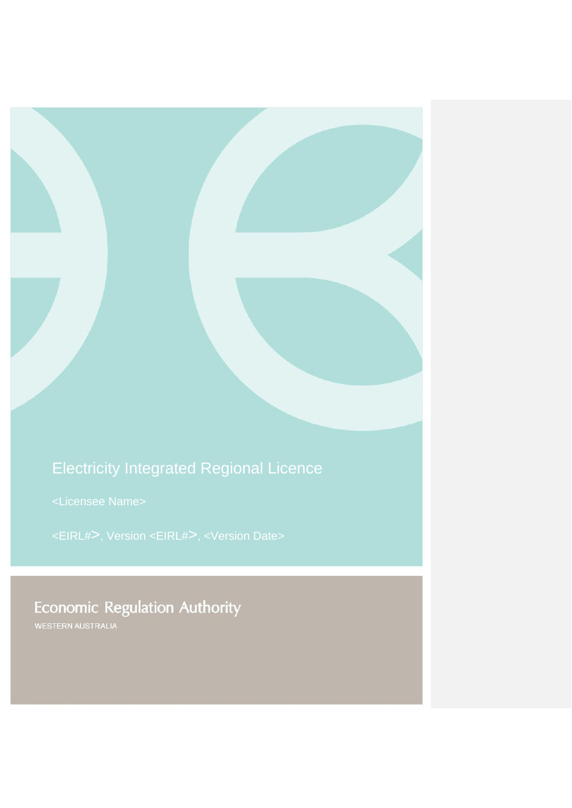# Electricity Integrated Regional Licence

**Economic Regulation Authority**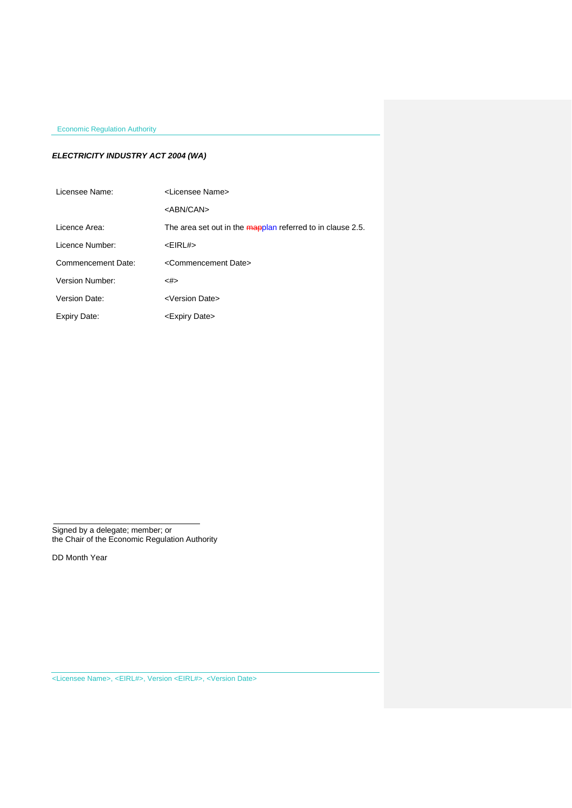# *ELECTRICITY INDUSTRY ACT 2004 (WA)*

<span id="page-1-6"></span><span id="page-1-5"></span><span id="page-1-4"></span><span id="page-1-3"></span><span id="page-1-2"></span><span id="page-1-1"></span><span id="page-1-0"></span>

| Licensee Name:     | <l icensee="" name=""></l>                                 |
|--------------------|------------------------------------------------------------|
|                    | <abn can=""></abn>                                         |
| Licence Area:      | The area set out in the mapplan referred to in clause 2.5. |
| Licence Number:    | $<$ EIRL# $>$                                              |
| Commencement Date: | <commencement date=""></commencement>                      |
| Version Number:    | <#>                                                        |
| Version Date:      | <version date=""></version>                                |
| Expiry Date:       | <expiry date=""></expiry>                                  |

Signed by a delegate; member; or the Chair of the Economic Regulation Authority

DD Month Year

[<Licensee Name>,](#page-1-0) [<EIRL#>,](#page-1-1) Version [<EIRL#>,](#page-1-1) [<Version Date>](#page-1-2)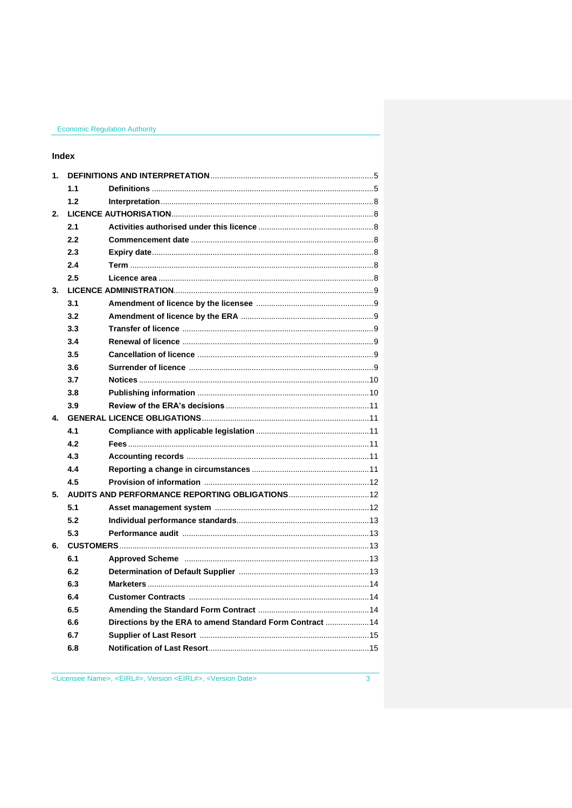# Index

| 1. |     |                                                           |
|----|-----|-----------------------------------------------------------|
|    | 1.1 |                                                           |
|    | 1.2 |                                                           |
| 2. |     |                                                           |
|    | 2.1 |                                                           |
|    | 2.2 |                                                           |
|    | 2.3 |                                                           |
|    | 2.4 |                                                           |
|    | 2.5 |                                                           |
| 3. |     |                                                           |
|    | 3.1 |                                                           |
|    | 3.2 |                                                           |
|    | 3.3 |                                                           |
|    | 3.4 |                                                           |
|    | 3.5 |                                                           |
|    | 3.6 |                                                           |
|    | 3.7 |                                                           |
|    | 3.8 |                                                           |
|    | 3.9 |                                                           |
| 4  |     |                                                           |
|    | 4.1 |                                                           |
|    | 4.2 |                                                           |
|    | 4.3 |                                                           |
|    | 4.4 |                                                           |
|    | 4.5 |                                                           |
| 5. |     |                                                           |
|    | 5.1 |                                                           |
|    | 5.2 |                                                           |
|    | 5.3 |                                                           |
| 6. |     |                                                           |
|    | 6.1 |                                                           |
|    | 6.2 |                                                           |
|    | 6.3 |                                                           |
|    | 6.4 |                                                           |
|    | 6.5 |                                                           |
|    | 6.6 | Directions by the ERA to amend Standard Form Contract  14 |
|    | 6.7 |                                                           |
|    | 6.8 |                                                           |
|    |     |                                                           |

<Licensee Name>, <EIRL#>, Version <EIRL#>, <Version Date>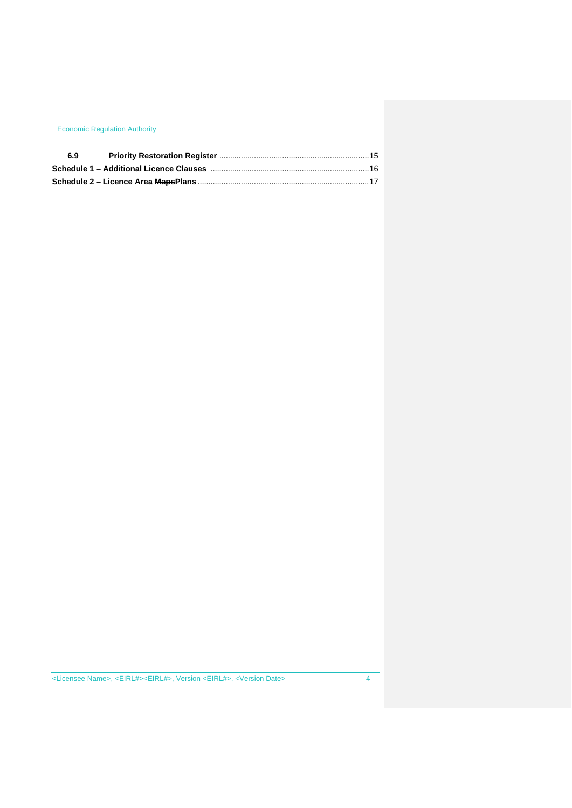| <b>Economic Regulation Authority</b> |  |  |
|--------------------------------------|--|--|
| 6.9                                  |  |  |
|                                      |  |  |
|                                      |  |  |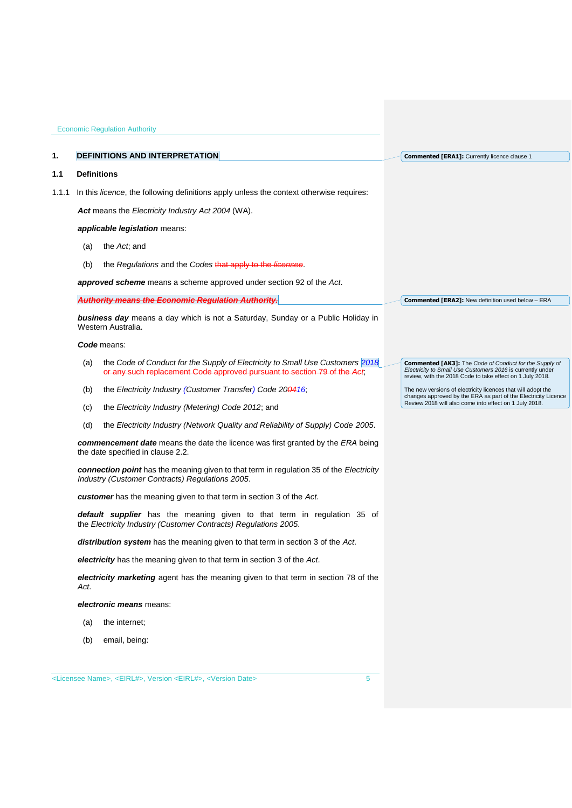### <span id="page-4-0"></span>**1. DEFINITIONS AND INTERPRETATION**

## <span id="page-4-1"></span>**1.1 Definitions**

1.1.1 In this *licence*, the following definitions apply unless the context otherwise requires:

*Act* means the *Electricity Industry Act 2004* (WA).

## *applicable legislation* means:

- (a) the *Act*; and
- (b) the *Regulations* and the *Codes* that apply to the *licensee*.

*approved scheme* means a scheme approved under section 92 of the *Act*.

## *Authority means the Economic Regulation Authority.*

*business day* means a day which is not a Saturday, Sunday or a Public Holiday in Western Australia.

#### *Code* means:

- (a) the *Code of Conduct for the Supply of Electricity to Small Use Customers 2018* or any such replacement Code approved pursuant to
- (b) the *Electricity Industry (Customer Transfer) Code 200416*;
- (c) the *Electricity Industry (Metering) Code 2012*; and
- (d) the *Electricity Industry (Network Quality and Reliability of Supply) Code 2005*.

*commencement date* means the date the licence was first granted by the *ERA* being the date specified in clause 2.2.

*connection point* has the meaning given to that term in regulation 35 of the *[Electricity](http://www.slp.wa.gov.au/legislation/statutes.nsf/main_mrtitle_1345_homepage.html)  [Industry \(Customer Contracts\) Regulations 2005](http://www.slp.wa.gov.au/legislation/statutes.nsf/main_mrtitle_1345_homepage.html)*.

*customer* has the meaning given to that term in section 3 of the *Act*.

*default supplier* has the meaning given to that term in regulation 35 of the *Electricity [Industry \(Customer Contracts\) Regulations 2005.](http://www.slp.wa.gov.au/legislation/statutes.nsf/main_mrtitle_1345_homepage.html)*

*distribution system* has the meaning given to that term in section 3 of the *Act*.

*electricity* has the meaning given to that term in section 3 of the *Act*.

*electricity marketing* agent has the meaning given to that term in section 78 of the *Act*.

*electronic means* means:

- (a) the internet;
- (b) email, being:

**Commented [ERA1]:** Currently licence clause 1

**Commented [ERA2]:** New definition used below – ERA

**Commented [AK3]:** The *Code of Conduct for the Supply of Electricity to Small Use Customers 2016* is currently under review, with the 2018 Code to take effect on 1 July 2018.

The new versions of electricity licences that will adopt the changes approved by the ERA as part of the Electricity Licence Review 2018 will also come into effect on 1 July 2018.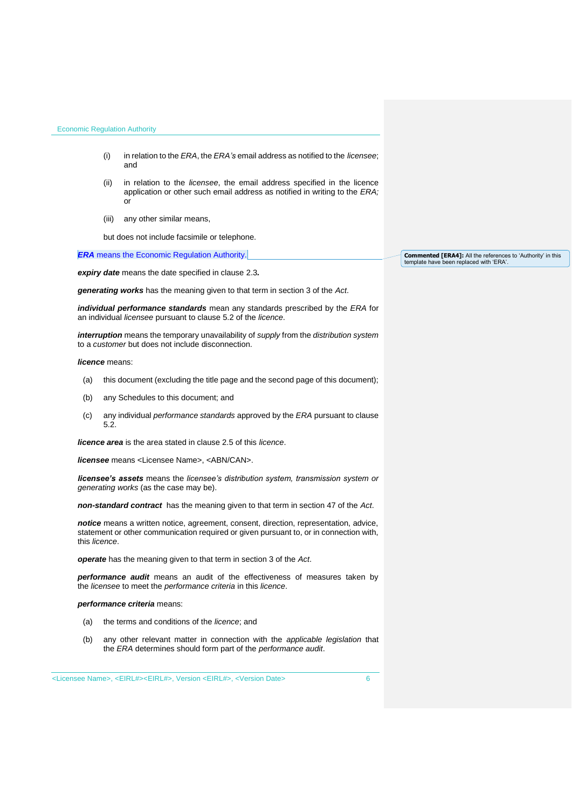- (i) in relation to the *ERA*, the *ERA's* email address as notified to the *licensee*; and
- (ii) in relation to the *licensee*, the email address specified in the licence application or other such email address as notified in writing to the *ERA;* or
- (iii) any other similar means,

but does not include facsimile or telephone.

*ERA* means the Economic Regulation Authority.

*expiry date* means the date specified in clause 2.3*.*

*generating works* has the meaning given to that term in section 3 of the *Act*.

*individual performance standards* mean any standards prescribed by the *ERA* for an individual *licensee* pursuant to clause 5.2 of the *licence*.

*interruption* means the temporary unavailability of *supply* from the *distribution system* to a *customer* but does not include disconnection.

*licence* means:

- (a) this document (excluding the title page and the second page of this document);
- (b) any Schedules to this document; and
- (c) any individual *performance standards* approved by the *ERA* pursuant to clause 5.2.

*licence area* is the area stated in clause 2.5 of this *licence*.

*licensee* means [<Licensee Name>,](#page-1-0) [<ABN/CAN>.](#page-1-3)

*licensee's assets* means the *licensee's distribution system, transmission system or generating works* (as the case may be).

*non-standard contract* has the meaning given to that term in section 47 of the *Act*.

*notice* means a written notice, agreement, consent, direction, representation, advice, statement or other communication required or given pursuant to, or in connection with, this *licence*.

*operate* has the meaning given to that term in section 3 of the *Act*.

*performance audit* means an audit of the effectiveness of measures taken by the *licensee* to meet the *performance criteria* in this *licence*.

*performance criteria* means:

- (a) the terms and conditions of the *licence*; and
- (b) any other relevant matter in connection with the *applicable legislation* that the *ERA* determines should form part of the *performance audit*.

[<Licensee Name>,](#page-1-0) [<EIRL#><](#page-1-1)EIRL#>, Version [<EIRL#>,](#page-1-1) [<Version Date>](#page-1-2) 6

**Commented [ERA4]:** All the references to 'Authority' in this template have been replaced with 'ERA'.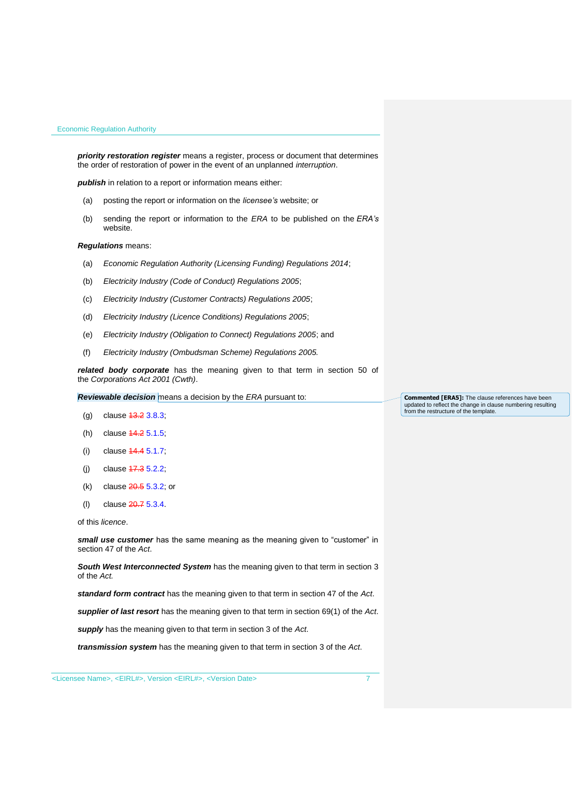*priority restoration register* means a register, process or document that determines the order of restoration of power in the event of an unplanned *interruption*.

*publish* in relation to a report or information means either:

- (a) posting the report or information on the *licensee's* website; or
- (b) sending the report or information to the *ERA* to be published on the *ERA's* website.

## *Regulations* means:

- (a) *Economic Regulation Authority (Licensing Funding) Regulations 2014*;
- (b) *Electricity Industry (Code of Conduct) Regulations 2005*;
- (c) *Electricity Industry (Customer Contracts) Regulations 2005*;
- (d) *Electricity Industry (Licence Conditions) Regulations 2005*;
- (e) *Electricity Industry (Obligation to Connect) Regulations 2005*; and
- (f) *Electricity Industry (Ombudsman Scheme) Regulations 2005.*

*related body corporate* has the meaning given to that term in section 50 of the *Corporations Act 2001 (Cwth)*.

*Reviewable decision* means a decision by the *ERA* pursuant to:

- (g) clause 13.2 3.8.3;
- (h) clause 14.2 5.1.5;
- (i) clause 14.4 5.1.7;
- (i) clause  $17.35.2.2$ ;
- (k) clause 20.5 5.3.2; or
- (l) clause 20.7 5.3.4.

of this *licence*.

**small use customer** has the same meaning as the meaning given to "customer" in section 47 of the *Act*.

**South West Interconnected System** has the meaning given to that term in section 3 of the *Act.* 

*standard form contract* has the meaning given to that term in section 47 of the *Act*.

*supplier of last resort* has the meaning given to that term in section 69(1) of the *Act*.

*supply* has the meaning given to that term in section 3 of the *Act*.

*transmission system* has the meaning given to that term in section 3 of the *Act*.

**Commented [ERA5]:** The clause references have been updated to reflect the change in clause numbering resulting from the restructure of the template.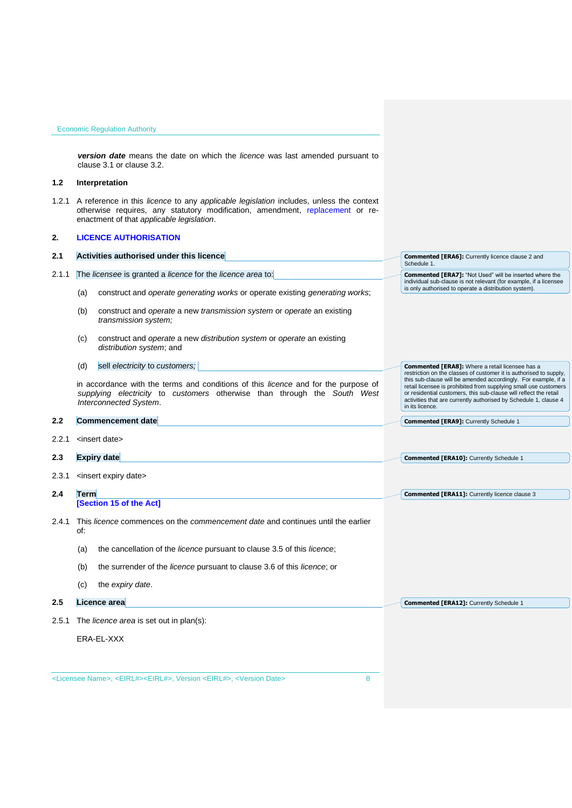*version date* means the date on which the *licence* was last amended pursuant to clause 3.1 or clause 3.2.

# <span id="page-7-0"></span>**1.2 Interpretation**

1.2.1 A reference in this *licence* to any *applicable legislation* includes, unless the context otherwise requires, any statutory modification, amendment, replacement or reenactment of that *applicable legislation*.

# <span id="page-7-1"></span>**2. LICENCE AUTHORISATION**

# <span id="page-7-6"></span><span id="page-7-5"></span><span id="page-7-4"></span><span id="page-7-3"></span><span id="page-7-2"></span>[<Licensee Name>,](#page-1-0) [<EIRL#><](#page-1-1)EIRL#>, Version [<EIRL#>,](#page-1-1) [<Version Date>](#page-1-2) 8 **2.1 Activities authorised under this licence** 2.1.1 The *licensee* is granted a *licence* for the *licence area* to: (a) construct and *operate generating works* or operate existing *generating works*; (b) construct and *operate* a new *transmission system* or *operate* an existing *transmission system;* (c) construct and *operate* a new *distribution system* or *operate* an existing *distribution system*; and (d) sell *electricity* to *customers;* in accordance with the terms and conditions of this *licence* and for the purpose of *supplying electricity* to *customers* otherwise than through the *South West Interconnected System*. **2.2 Commencement date** 2.2.1 <insert date> **2.3 Expiry date** 2.3.1 <insert expiry date> **2.4 Term [Section 15 of the Act]** 2.4.1 This *licence* commences on the *commencement date* and continues until the earlier of: (a) the cancellation of the *licence* pursuant to clause 3.5 of this *licence*; (b) the surrender of the *licence* pursuant to clause 3.6 of this *licence*; or (c) the *expiry date*. **2.5 Licence area** 2.5.1 The *licence area* is set out in plan(s): ERA-EL-XXX **Commented [ERA6]:** Currently licence clause 2 and Schedule 1 **Commented [ERA7]:** "Not Used" will be inserted where the individual sub-clause is not relevant (for example, if a licensee is only authorised to operate a distribution system). **Commented [ERA8]:** Where a retail licensee has a restriction on the classes of customer it is authorised to supply, this sub-clause will be amended accordingly. For example, if a retail licensee is prohibited from supplying small use customers or residential customers, this sub-clause will reflect the retail activities that are currently authorised by Schedule 1, clause 4 in its licence. **Commented [ERA9]:** Currently Schedule 1 **Commented [ERA10]:** Currently Schedule 1 **Commented [ERA11]:** Currently licence clause 3 **Commented [ERA12]:** Currently Schedule 1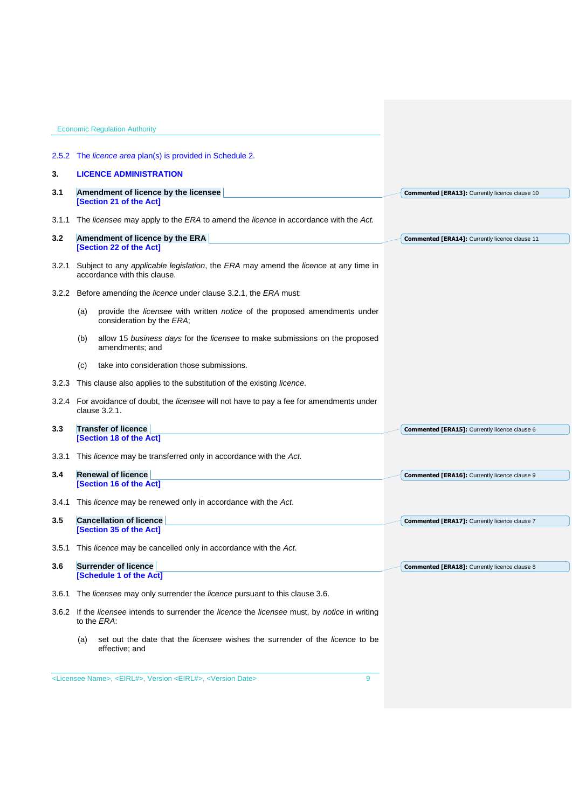<span id="page-8-6"></span><span id="page-8-5"></span><span id="page-8-4"></span><span id="page-8-3"></span><span id="page-8-2"></span><span id="page-8-1"></span><span id="page-8-0"></span>

|       | <b>Economic Regulation Authority</b>                                                                                |                                                       |
|-------|---------------------------------------------------------------------------------------------------------------------|-------------------------------------------------------|
|       |                                                                                                                     |                                                       |
| 2.5.2 | The <i>licence area</i> plan(s) is provided in Schedule 2.                                                          |                                                       |
| 3.    | <b>LICENCE ADMINISTRATION</b>                                                                                       |                                                       |
| 3.1   | Amendment of licence by the licensee<br>[Section 21 of the Act]                                                     | <b>Commented [ERA13]:</b> Currently licence clause 10 |
| 3.1.1 | The licensee may apply to the ERA to amend the licence in accordance with the Act.                                  |                                                       |
| 3.2   | Amendment of licence by the ERA<br>[Section 22 of the Act]                                                          | Commented [ERA14]: Currently licence clause 11        |
| 3.2.1 | Subject to any applicable legislation, the ERA may amend the licence at any time in<br>accordance with this clause. |                                                       |
|       | 3.2.2 Before amending the <i>licence</i> under clause 3.2.1, the <i>ERA</i> must:                                   |                                                       |
|       | provide the licensee with written notice of the proposed amendments under<br>(a)<br>consideration by the ERA;       |                                                       |
|       | allow 15 business days for the licensee to make submissions on the proposed<br>(b)<br>amendments; and               |                                                       |
|       | take into consideration those submissions.<br>(C)                                                                   |                                                       |
| 3.2.3 | This clause also applies to the substitution of the existing <i>licence</i> .                                       |                                                       |
|       | 3.2.4 For avoidance of doubt, the licensee will not have to pay a fee for amendments under<br>clause 3.2.1.         |                                                       |
| 3.3   | <b>Transfer of licence</b>                                                                                          | Commented [ERA15]: Currently licence clause 6         |
|       | [Section 18 of the Act]                                                                                             |                                                       |
|       | 3.3.1 This licence may be transferred only in accordance with the Act.                                              |                                                       |
| 3.4   | <b>Renewal of licence</b><br>[Section 16 of the Act]                                                                | Commented [ERA16]: Currently licence clause 9         |
| 3.4.1 | This licence may be renewed only in accordance with the Act.                                                        |                                                       |
| 3.5   | <b>Cancellation of licence</b>                                                                                      |                                                       |
|       | [Section 35 of the Act]                                                                                             | Commented [ERA17]: Currently licence clause 7         |
| 3.5.1 | This licence may be cancelled only in accordance with the Act.                                                      |                                                       |
| 3.6   | <b>Surrender of licence</b><br>[Schedule 1 of the Act]                                                              | Commented [ERA18]: Currently licence clause 8         |
|       |                                                                                                                     |                                                       |
| 3.6.1 | The licensee may only surrender the licence pursuant to this clause 3.6.                                            |                                                       |
|       | 3.6.2 If the licensee intends to surrender the licence the licensee must, by notice in writing<br>to the ERA:       |                                                       |
|       | set out the date that the <i>licensee</i> wishes the surrender of the <i>licence</i> to be<br>(a)<br>effective; and |                                                       |
|       |                                                                                                                     |                                                       |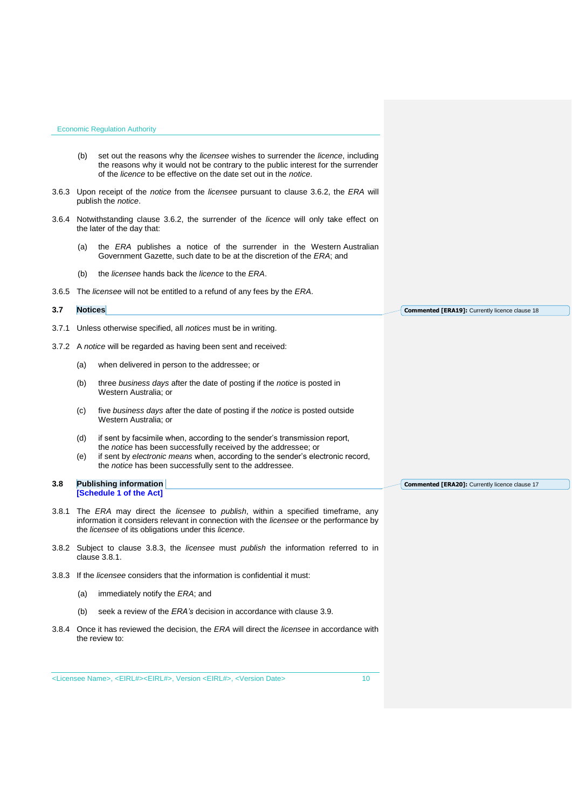<span id="page-9-0"></span>**3.7 Notices**

- (b) set out the reasons why the *licensee* wishes to surrender the *licence*, including the reasons why it would not be contrary to the public interest for the surrender of the *licence* to be effective on the date set out in the *notice*.
- 3.6.3 Upon receipt of the *notice* from the *licensee* pursuant to clause 3.6.2, the *ERA* will publish the *notice*.
- 3.6.4 Notwithstanding clause 3.6.2, the surrender of the *licence* will only take effect on the later of the day that:
	- (a) the *ERA* publishes a notice of the surrender in the Western Australian Government Gazette, such date to be at the discretion of the *ERA*; and
	- (b) the *licensee* hands back the *licence* to the *ERA*.
- 3.6.5 The *licensee* will not be entitled to a refund of any fees by the *ERA*.

**Commented [ERA19]:** Currently licence clause 18

- 3.7.1 Unless otherwise specified, all *notices* must be in writing.
- 3.7.2 A *notice* will be regarded as having been sent and received:
	- (a) when delivered in person to the addressee; or
	- (b) three *business days* after the date of posting if the *notice* is posted in Western Australia; or
	- (c) five *business days* after the date of posting if the *notice* is posted outside Western Australia; or
	- (d) if sent by facsimile when, according to the sender's transmission report, the *notice* has been successfully received by the addressee; or
	- (e) if sent by *electronic means* when, according to the sender's electronic record, the *notice* has been successfully sent to the addressee.

#### <span id="page-9-1"></span>**3.8 Publishing information [Schedule 1 of the Act]**

- 3.8.1 The *ERA* may direct the *licensee* to *publish*, within a specified timeframe, any information it considers relevant in connection with the *licensee* or the performance by the *licensee* of its obligations under this *licence*.
- 3.8.2 Subject to clause 3.8.3, the *licensee* must *publish* the information referred to in clause 3.8.1.
- 3.8.3 If the *licensee* considers that the information is confidential it must:
	- (a) immediately notify the *ERA*; and
	- (b) seek a review of the *ERA's* decision in accordance with clause 3.9.
- 3.8.4 Once it has reviewed the decision, the *ERA* will direct the *licensee* in accordance with the review to:

**Commented [ERA20]:** Currently licence clause 17

[<Licensee Name>,](#page-1-0) [<EIRL#><](#page-1-1)EIRL#>, Version [<EIRL#>,](#page-1-1) [<Version Date>](#page-1-2) 10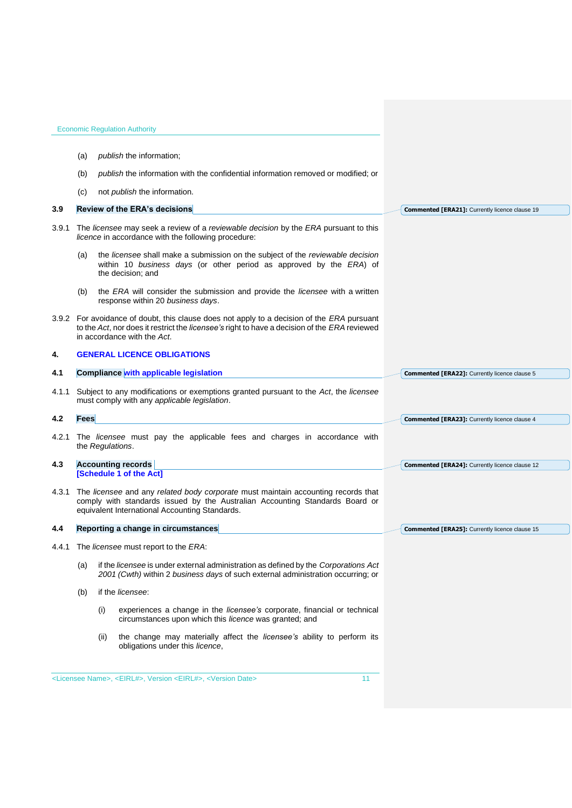<span id="page-10-5"></span><span id="page-10-4"></span><span id="page-10-3"></span><span id="page-10-2"></span><span id="page-10-1"></span><span id="page-10-0"></span>

|       |             | <b>Economic Regulation Authority</b>                                                                                                                                                                                      |                                                       |
|-------|-------------|---------------------------------------------------------------------------------------------------------------------------------------------------------------------------------------------------------------------------|-------------------------------------------------------|
|       | (a)         | publish the information;                                                                                                                                                                                                  |                                                       |
|       | (b)         | publish the information with the confidential information removed or modified; or                                                                                                                                         |                                                       |
|       | (c)         | not <i>publish</i> the information.                                                                                                                                                                                       |                                                       |
| 3.9   |             | <b>Review of the ERA's decisions</b>                                                                                                                                                                                      | Commented [ERA21]: Currently licence clause 19        |
| 3.9.1 |             | The licensee may seek a review of a reviewable decision by the ERA pursuant to this<br>licence in accordance with the following procedure:                                                                                |                                                       |
|       | (a)         | the licensee shall make a submission on the subject of the reviewable decision<br>within 10 business days (or other period as approved by the ERA) of<br>the decision; and                                                |                                                       |
|       | (b)         | the ERA will consider the submission and provide the licensee with a written<br>response within 20 business days.                                                                                                         |                                                       |
|       |             | 3.9.2 For avoidance of doubt, this clause does not apply to a decision of the ERA pursuant<br>to the Act, nor does it restrict the licensee's right to have a decision of the ERA reviewed<br>in accordance with the Act. |                                                       |
| 4.    |             | <b>GENERAL LICENCE OBLIGATIONS</b>                                                                                                                                                                                        |                                                       |
| 4.1   |             | <b>Compliance with applicable legislation</b>                                                                                                                                                                             | Commented [ERA22]: Currently licence clause 5         |
| 4.1.1 |             | Subject to any modifications or exemptions granted pursuant to the Act, the licensee<br>must comply with any applicable legislation.                                                                                      |                                                       |
| 4.2   | <b>Fees</b> |                                                                                                                                                                                                                           | Commented [ERA23]: Currently licence clause 4         |
|       |             | 4.2.1 The licensee must pay the applicable fees and charges in accordance with<br>the Regulations.                                                                                                                        |                                                       |
| 4.3   |             | <b>Accounting records</b>                                                                                                                                                                                                 | <b>Commented [ERA24]:</b> Currently licence clause 12 |
|       |             | [Schedule 1 of the Act]                                                                                                                                                                                                   |                                                       |
|       |             | 4.3.1 The licensee and any related body corporate must maintain accounting records that<br>comply with standards issued by the Australian Accounting Standards Board or<br>equivalent International Accounting Standards. |                                                       |
| 4.4   |             | Reporting a change in circumstances                                                                                                                                                                                       | <b>Commented [ERA25]:</b> Currently licence clause 15 |
|       |             | 4.4.1 The <i>licensee</i> must report to the <i>ERA</i> :                                                                                                                                                                 |                                                       |
|       | (a)         | if the licensee is under external administration as defined by the Corporations Act<br>2001 (Cwth) within 2 business days of such external administration occurring; or                                                   |                                                       |
|       | (b)         | if the licensee:                                                                                                                                                                                                          |                                                       |
|       |             | (i)<br>experiences a change in the <i>licensee's</i> corporate, financial or technical<br>circumstances upon which this licence was granted; and                                                                          |                                                       |
|       |             | the change may materially affect the licensee's ability to perform its<br>(ii)<br>obligations under this licence,                                                                                                         |                                                       |
|       |             | <licensee name="">, <eirl#>, Version <eirl#>, <version date=""><br/>11</version></eirl#></eirl#></licensee>                                                                                                               |                                                       |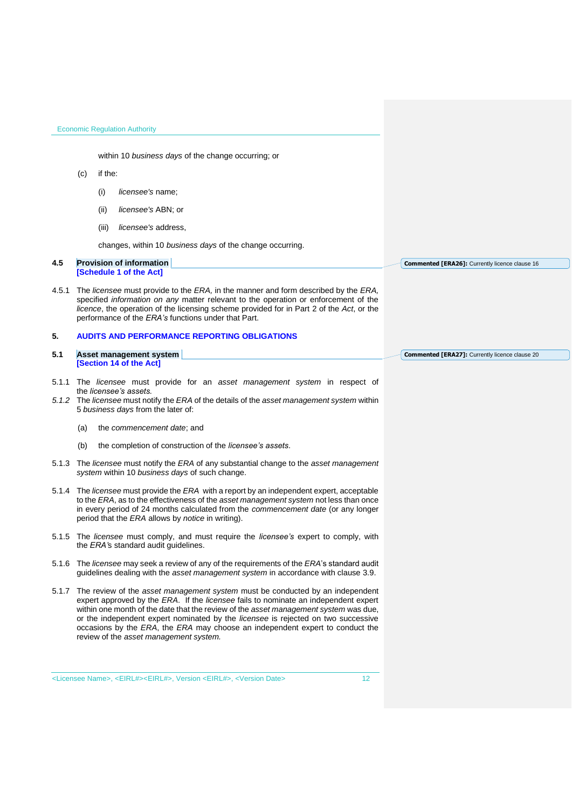within 10 *business days* of the change occurring; or

## (c) if the:

- (i) *licensee's* name;
- (ii) *licensee's* ABN; or
- (iii) *licensee's* address,

changes, within 10 *business days* of the change occurring.

#### <span id="page-11-0"></span>**4.5 Provision of information [Schedule 1 of the Act]**

4.5.1 The *licensee* must provide to the *ERA,* in the manner and form described by the *ERA,*  specified *information on any* matter relevant to the operation or enforcement of the *licence*, the operation of the licensing scheme provided for in Part 2 of the *Act*, or the performance of the *ERA's* functions under that Part.

## <span id="page-11-1"></span>**5. AUDITS AND PERFORMANCE REPORTING OBLIGATIONS**

- <span id="page-11-2"></span>**5.1 Asset management system [Section 14 of the Act] Commented [ERA27]:** Currently licence clause 20
- 5.1.1 The *licensee* must provide for an *asset management system* in respect of the *licensee's assets.*
- *5.1.2* The *licensee* must notify the *ERA* of the details of the *asset management system* within 5 *business days* from the later of:
	- (a) the *commencement date*; and
	- (b) the completion of construction of the *licensee's assets*.
- 5.1.3 The *licensee* must notify the *ERA* of any substantial change to the *asset management system* within 10 *business days* of such change.
- 5.1.4 The *licensee* must provide the *ERA* with a report by an independent expert, acceptable to the *ERA*, as to the effectiveness of the *asset management system* not less than once in every period of 24 months calculated from the *commencement date* (or any longer period that the *ERA* allows by *notice* in writing).
- 5.1.5 The *licensee* must comply, and must require the *licensee's* expert to comply, with the *ERA'*s standard audit guidelines.
- 5.1.6 The *licensee* may seek a review of any of the requirements of the *ERA*'s standard audit guidelines dealing with the *asset management system* in accordance with clause 3.9.
- 5.1.7 The review of the *asset management system* must be conducted by an independent expert approved by the *ERA*. If the *licensee* fails to nominate an independent expert within one month of the date that the review of the *asset management system* was due, or the independent expert nominated by the *licensee* is rejected on two successive occasions by the *ERA*, the *ERA* may choose an independent expert to conduct the review of the *asset management system.*

[<Licensee Name>,](#page-1-0) [<EIRL#><](#page-1-1)EIRL#>, Version [<EIRL#>,](#page-1-1) [<Version Date>](#page-1-2) 12

**Commented [ERA26]:** Currently licence clause 16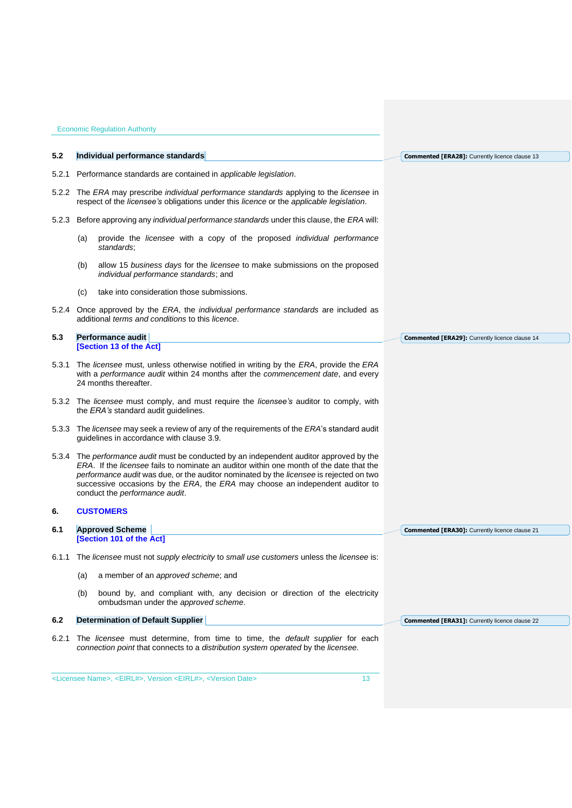<span id="page-12-4"></span><span id="page-12-3"></span><span id="page-12-2"></span><span id="page-12-1"></span><span id="page-12-0"></span>

| 5.2   | Individual performance standards                                                                                                                                                                                                                                                                                                                                                                | <b>Commented [ERA28]:</b> Currently licence clause 13 |
|-------|-------------------------------------------------------------------------------------------------------------------------------------------------------------------------------------------------------------------------------------------------------------------------------------------------------------------------------------------------------------------------------------------------|-------------------------------------------------------|
|       |                                                                                                                                                                                                                                                                                                                                                                                                 |                                                       |
| 5.2.1 | Performance standards are contained in applicable legislation.                                                                                                                                                                                                                                                                                                                                  |                                                       |
|       | 5.2.2 The ERA may prescribe individual performance standards applying to the licensee in<br>respect of the <i>licensee's</i> obligations under this <i>licence</i> or the <i>applicable legislation</i> .                                                                                                                                                                                       |                                                       |
|       | 5.2.3 Before approving any <i>individual performance standards</i> under this clause, the <i>ERA</i> will:                                                                                                                                                                                                                                                                                      |                                                       |
|       | provide the licensee with a copy of the proposed individual performance<br>(a)<br>standards;                                                                                                                                                                                                                                                                                                    |                                                       |
|       | allow 15 business days for the licensee to make submissions on the proposed<br>(b)<br>individual performance standards; and                                                                                                                                                                                                                                                                     |                                                       |
|       | take into consideration those submissions.<br>(C)                                                                                                                                                                                                                                                                                                                                               |                                                       |
|       | 5.2.4 Once approved by the ERA, the <i>individual performance standards</i> are included as<br>additional <i>terms and conditions</i> to this <i>licence</i> .                                                                                                                                                                                                                                  |                                                       |
| 5.3   | <b>Performance audit</b>                                                                                                                                                                                                                                                                                                                                                                        | <b>Commented [ERA29]:</b> Currently licence clause 14 |
|       | [Section 13 of the Act]                                                                                                                                                                                                                                                                                                                                                                         |                                                       |
|       | 5.3.1 The licensee must, unless otherwise notified in writing by the ERA, provide the ERA<br>with a performance audit within 24 months after the commencement date, and every<br>24 months thereafter.                                                                                                                                                                                          |                                                       |
|       | 5.3.2 The <i>licensee</i> must comply, and must require the <i>licensee's</i> auditor to comply, with<br>the ERA's standard audit guidelines.                                                                                                                                                                                                                                                   |                                                       |
|       | 5.3.3 The licensee may seek a review of any of the requirements of the ERA's standard audit<br>guidelines in accordance with clause 3.9.                                                                                                                                                                                                                                                        |                                                       |
|       | 5.3.4 The performance audit must be conducted by an independent auditor approved by the<br>ERA. If the licensee fails to nominate an auditor within one month of the date that the<br>performance audit was due, or the auditor nominated by the licensee is rejected on two<br>successive occasions by the ERA, the ERA may choose an independent auditor to<br>conduct the performance audit. |                                                       |
| 6.    | <b>CUSTOMERS</b>                                                                                                                                                                                                                                                                                                                                                                                |                                                       |
| 6.1   | <b>Approved Scheme</b>                                                                                                                                                                                                                                                                                                                                                                          | <b>Commented [ERA30]:</b> Currently licence clause 21 |
|       | [Section 101 of the Act]                                                                                                                                                                                                                                                                                                                                                                        |                                                       |
|       | 6.1.1 The licensee must not supply electricity to small use customers unless the licensee is:                                                                                                                                                                                                                                                                                                   |                                                       |
|       | a member of an approved scheme; and<br>(a)                                                                                                                                                                                                                                                                                                                                                      |                                                       |
|       | (b)<br>bound by, and compliant with, any decision or direction of the electricity<br>ombudsman under the approved scheme.                                                                                                                                                                                                                                                                       |                                                       |
| 6.2   | <b>Determination of Default Supplier</b>                                                                                                                                                                                                                                                                                                                                                        | <b>Commented [ERA31]:</b> Currently licence clause 22 |
| 6.2.1 | The licensee must determine, from time to time, the <i>default supplier</i> for each<br>connection point that connects to a distribution system operated by the licensee.                                                                                                                                                                                                                       |                                                       |
|       | <licensee name="">, <eirl#>, Version <eirl#>, <version date=""><br/>13</version></eirl#></eirl#></licensee>                                                                                                                                                                                                                                                                                     |                                                       |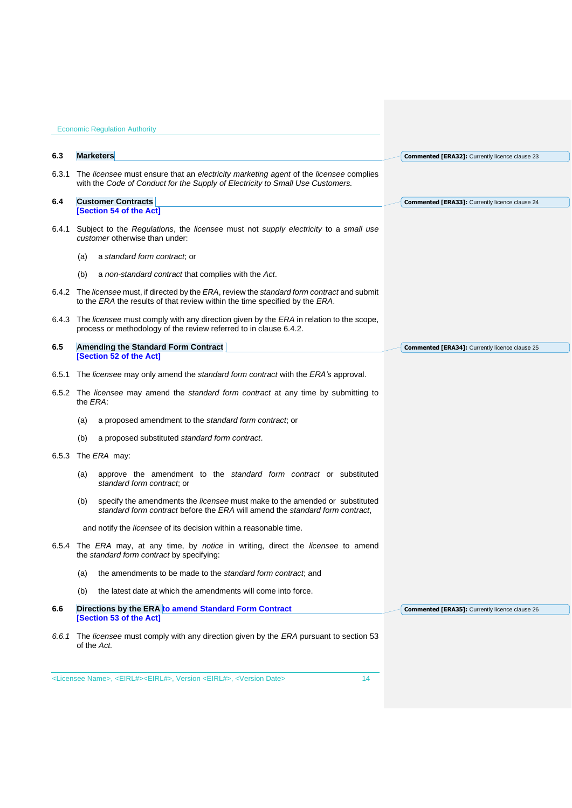<span id="page-13-3"></span><span id="page-13-2"></span><span id="page-13-1"></span><span id="page-13-0"></span>

| 6.3   | <b>Marketers</b>                                                                                                                                                             | Commented [ERA32]: Currently licence clause 23        |
|-------|------------------------------------------------------------------------------------------------------------------------------------------------------------------------------|-------------------------------------------------------|
| 6.3.1 | The licensee must ensure that an electricity marketing agent of the licensee complies<br>with the Code of Conduct for the Supply of Electricity to Small Use Customers.      |                                                       |
| 6.4   | <b>Customer Contracts</b>                                                                                                                                                    | Commented [ERA33]: Currently licence clause 24        |
|       | [Section 54 of the Act]                                                                                                                                                      |                                                       |
|       | 6.4.1 Subject to the Regulations, the licensee must not supply electricity to a small use<br>customer otherwise than under:                                                  |                                                       |
|       | a standard form contract, or<br>(a)                                                                                                                                          |                                                       |
|       | (b)<br>a non-standard contract that complies with the Act.                                                                                                                   |                                                       |
|       | 6.4.2 The licensee must, if directed by the ERA, review the standard form contract and submit<br>to the ERA the results of that review within the time specified by the ERA. |                                                       |
|       | 6.4.3 The licensee must comply with any direction given by the ERA in relation to the scope,<br>process or methodology of the review referred to in clause 6.4.2.            |                                                       |
| 6.5   | <b>Amending the Standard Form Contract</b>                                                                                                                                   | <b>Commented [ERA34]:</b> Currently licence clause 25 |
|       | [Section 52 of the Act]                                                                                                                                                      |                                                       |
| 6.5.1 | The licensee may only amend the standard form contract with the ERA's approval.                                                                                              |                                                       |
|       | 6.5.2 The licensee may amend the standard form contract at any time by submitting to<br>the <i>ERA</i> :                                                                     |                                                       |
|       | a proposed amendment to the standard form contract; or<br>(a)                                                                                                                |                                                       |
|       | (b)<br>a proposed substituted standard form contract.                                                                                                                        |                                                       |
| 6.5.3 | The ERA may:                                                                                                                                                                 |                                                       |
|       | approve the amendment to the <i>standard form contract</i> or substituted<br>(a)<br>standard form contract; or                                                               |                                                       |
|       | specify the amendments the licensee must make to the amended or substituted<br>(b)<br>standard form contract before the ERA will amend the standard form contract.           |                                                       |
|       | and notify the <i>licensee</i> of its decision within a reasonable time.                                                                                                     |                                                       |
|       | 6.5.4 The ERA may, at any time, by notice in writing, direct the licensee to amend<br>the standard form contract by specifying:                                              |                                                       |
|       | the amendments to be made to the standard form contract; and<br>(a)                                                                                                          |                                                       |
|       | (b)<br>the latest date at which the amendments will come into force.                                                                                                         |                                                       |
| 6.6   | Directions by the ERA to amend Standard Form Contract                                                                                                                        | <b>Commented [ERA35]:</b> Currently licence clause 26 |
|       | [Section 53 of the Act]                                                                                                                                                      |                                                       |
|       | 6.6.1 The licensee must comply with any direction given by the ERA pursuant to section 53<br>of the Act.                                                                     |                                                       |
|       | <licensee name="">, <eirl#><eirl#>, Version <eirl#>, <version date=""><br/>14</version></eirl#></eirl#></eirl#></licensee>                                                   |                                                       |
|       |                                                                                                                                                                              |                                                       |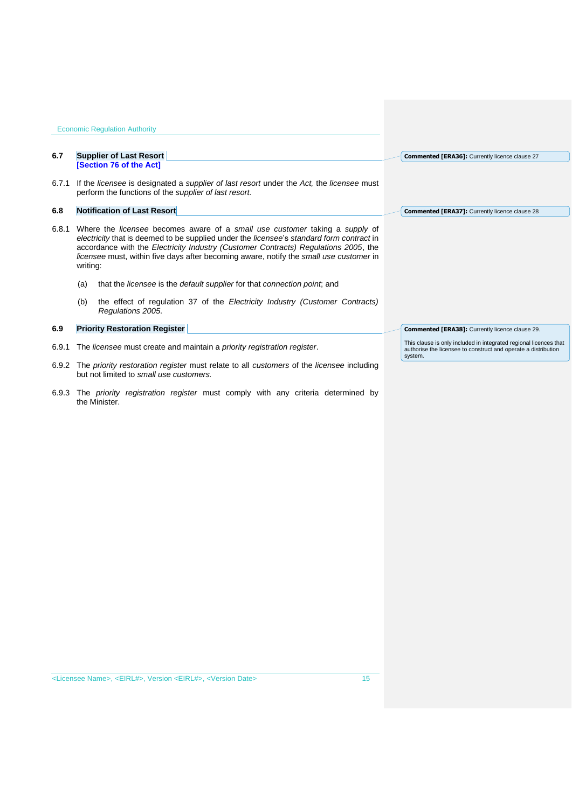<span id="page-14-1"></span><span id="page-14-0"></span>Economic Regulation Authority **6.7 Supplier of Last Resort [Section 76 of the Act]** 6.7.1 If the *licensee* is designated a *supplier of last resort* under the *Act,* the *licensee* must perform the functions of the *supplier of last resort.*  **6.8 Notification of Last Resort** 6.8.1 Where the *licensee* becomes aware of a *small use customer* taking a *supply* of *electricity* that is deemed to be supplied under the *licensee*'s *standard form contract* in accordance with the *[Electricity Industry \(Customer Contracts\) Regulations 2005](http://www.slp.wa.gov.au/legislation/statutes.nsf/main_mrtitle_1345_homepage.html)*, the *licensee* must, within five days after becoming aware, notify the *small use customer* in writing: (a) that the *licensee* is the *default supplier* for that *connection point*; and (b) the effect of regulation 37 of the *[Electricity Industry \(Customer Contracts\)](http://www.slp.wa.gov.au/legislation/statutes.nsf/main_mrtitle_1345_homepage.html)  [Regulations 2005](http://www.slp.wa.gov.au/legislation/statutes.nsf/main_mrtitle_1345_homepage.html)*. **6.9 Priority Restoration Register**  6.9.1 The *licensee* must create and maintain a *priority registration register*. 6.9.2 The *priority restoration register* must relate to all *customers* of the *licensee* including **Commented [ERA36]:** Currently licence clause 27 **Commented [ERA37]:** Currently licence clause 28 **Commented [ERA38]:** Currently licence clause 29. This clause is only included in integrated regional licences that authorise the licensee to construct and operate a distribution system.

6.9.3 The *priority registration register* must comply with any criteria determined by the Minister.

<span id="page-14-2"></span>but not limited to *small use customers.*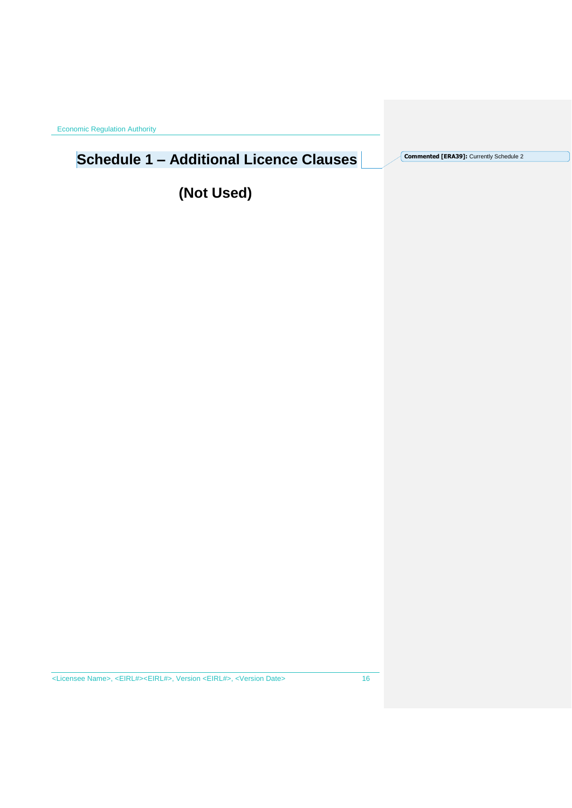# <span id="page-15-0"></span>**Schedule 1 – Additional Licence Clauses**

**Commented [ERA39]:** Currently Schedule 2

**(Not Used)**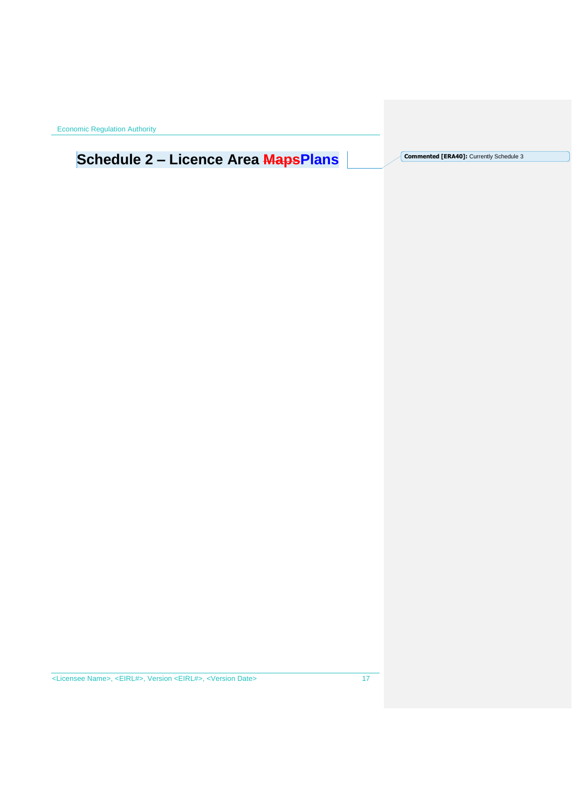# <span id="page-16-0"></span>Schedule 2 – Licence Area MapsPlans